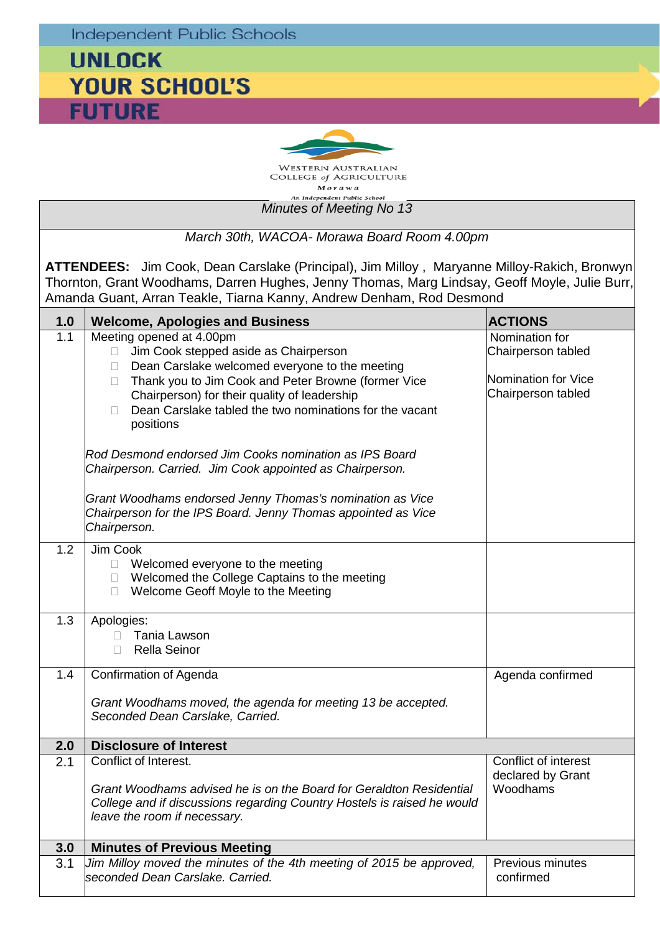**Independent Public Schools** 

## **UNLOCK YOUR SCHOOL'S FUTURE**



*Minutes of Meeting No 13 March 30th, WACOA- Morawa Board Room 4.00pm* **ATTENDEES:** Jim Cook, Dean Carslake (Principal), Jim Milloy , Maryanne Milloy-Rakich, Bronwyn Thornton, Grant Woodhams, Darren Hughes, Jenny Thomas, Marg Lindsay, Geoff Moyle, Julie Burr, Amanda Guant, Arran Teakle, Tiarna Kanny, Andrew Denham, Rod Desmond **1.0 Welcome, Apologies and Business ACTIONS**<br> **1.1** Meeting opened at 4.00pm Meeting opened at 4.00pm □ Jim Cook stepped aside as Chairperson  $\Box$  Dean Carslake welcomed everyone to the meeting □ Thank you to Jim Cook and Peter Browne (former Vice Chairperson) for their quality of leadership  $\Box$  Dean Carslake tabled the two nominations for the vacant positions *Rod Desmond endorsed Jim Cooks nomination as IPS Board Chairperson. Carried. Jim Cook appointed as Chairperson. Grant Woodhams endorsed Jenny Thomas's nomination as Vice Chairperson for the IPS Board. Jenny Thomas appointed as Vice Chairperson.* Nomination for Chairperson tabled Nomination for Vice Chairperson tabled 1.2 Jim Cook □ Welcomed everyone to the meeting<br>□ Welcomed the College Captains to t Welcomed the College Captains to the meeting □ Welcome Geoff Moyle to the Meeting 1.3 | Apologies: Tania Lawson Rella Seinor 1.4 Confirmation of Agenda *Grant Woodhams moved, the agenda for meeting 13 be accepted. Seconded Dean Carslake, Carried.* Agenda confirmed **2.0 Disclosure of Interest** 2.1 Conflict of Interest. Conflict of interest

*Grant Woodhams advised he is on the Board for Geraldton Residential College and if discussions regarding Country Hostels is raised he would* 

3.1 *Jim Milloy moved the minutes of the 4th meeting of 2015 be approved,* 

declared by Grant

Previous minutes

Woodhams

confirmed

*leave the room if necessary.*

**3.0 Minutes of Previous Meeting**

*seconded Dean Carslake. Carried.*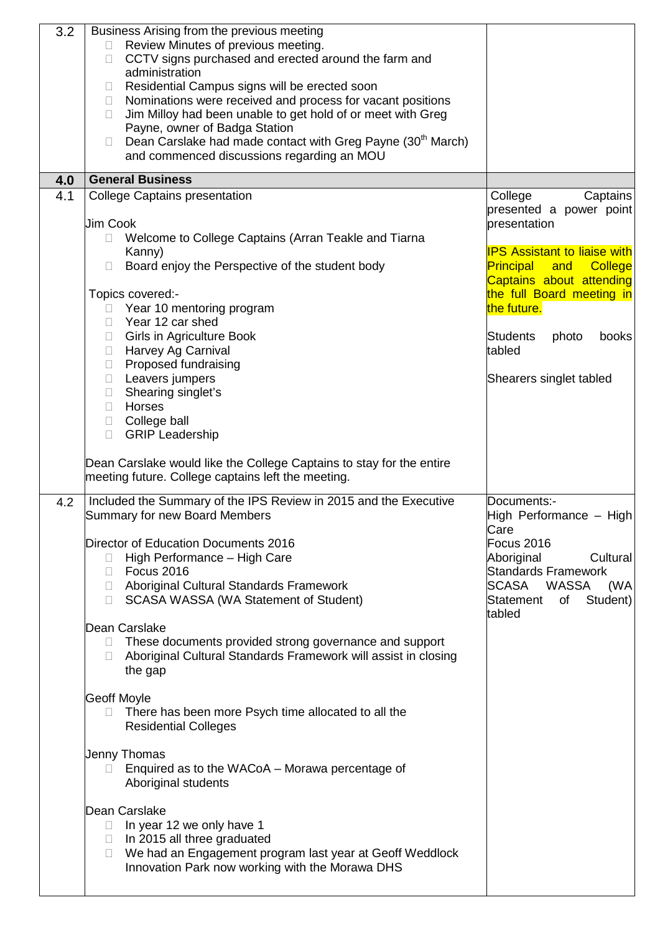| 3.2 | Business Arising from the previous meeting<br>Review Minutes of previous meeting.<br>CCTV signs purchased and erected around the farm and<br>П.<br>administration<br>Residential Campus signs will be erected soon<br>$\Box$<br>Nominations were received and process for vacant positions<br>$\Box$<br>Jim Milloy had been unable to get hold of or meet with Greg<br>$\Box$<br>Payne, owner of Badga Station<br>Dean Carslake had made contact with Greg Payne (30 <sup>th</sup> March)<br>$\Box$<br>and commenced discussions regarding an MOU |                                                                                                                                   |
|-----|---------------------------------------------------------------------------------------------------------------------------------------------------------------------------------------------------------------------------------------------------------------------------------------------------------------------------------------------------------------------------------------------------------------------------------------------------------------------------------------------------------------------------------------------------|-----------------------------------------------------------------------------------------------------------------------------------|
| 4.0 | <b>General Business</b>                                                                                                                                                                                                                                                                                                                                                                                                                                                                                                                           |                                                                                                                                   |
| 4.1 | College Captains presentation<br><b>Jim Cook</b><br>Welcome to College Captains (Arran Teakle and Tiarna<br>Kanny)                                                                                                                                                                                                                                                                                                                                                                                                                                | College<br>Captains<br>presented a power point<br>presentation<br><b>IPS Assistant to liaise with</b>                             |
|     | Board enjoy the Perspective of the student body<br>Topics covered:-<br>Year 10 mentoring program<br>$\mathbf{L}$                                                                                                                                                                                                                                                                                                                                                                                                                                  | Principal and<br><b>College</b><br>Captains about attending<br>the full Board meeting in<br>the future.                           |
|     | Year 12 car shed<br>П.<br><b>Girls in Agriculture Book</b><br>$\Box$<br>Harvey Ag Carnival<br>П.<br>Proposed fundraising<br>$\Box$                                                                                                                                                                                                                                                                                                                                                                                                                | Students<br>photo<br>books<br>tabled                                                                                              |
|     | Leavers jumpers<br>$\Box$<br>Shearing singlet's<br>$\Box$<br>Horses<br>П.<br>College ball<br>$\Box$<br><b>GRIP Leadership</b><br>П.                                                                                                                                                                                                                                                                                                                                                                                                               | Shearers singlet tabled                                                                                                           |
|     | Dean Carslake would like the College Captains to stay for the entire<br>meeting future. College captains left the meeting.                                                                                                                                                                                                                                                                                                                                                                                                                        |                                                                                                                                   |
| 4.2 | Included the Summary of the IPS Review in 2015 and the Executive<br>Summary for new Board Members                                                                                                                                                                                                                                                                                                                                                                                                                                                 | Documents:-<br>High Performance - High<br>Care                                                                                    |
|     | Director of Education Documents 2016<br>High Performance - High Care<br>$\Box$<br>Focus 2016<br>П.<br>□ Aboriginal Cultural Standards Framework<br><b>SCASA WASSA (WA Statement of Student)</b><br>H.                                                                                                                                                                                                                                                                                                                                             | Focus 2016<br>Aboriginal<br>Cultural<br><b>Standards Framework</b><br>SCASA WASSA<br>(WA<br>Student)<br>Statement<br>of<br>tabled |
|     | Dean Carslake<br>These documents provided strong governance and support<br>$\Box$<br>Aboriginal Cultural Standards Framework will assist in closing<br>$\mathbb{R}^n$<br>the gap                                                                                                                                                                                                                                                                                                                                                                  |                                                                                                                                   |
|     | Geoff Moyle<br>There has been more Psych time allocated to all the<br><b>Residential Colleges</b>                                                                                                                                                                                                                                                                                                                                                                                                                                                 |                                                                                                                                   |
|     | Jenny Thomas<br>Enquired as to the WACoA – Morawa percentage of<br>$\mathbb{R}^n$<br>Aboriginal students                                                                                                                                                                                                                                                                                                                                                                                                                                          |                                                                                                                                   |
|     | Dean Carslake<br>$\Box$ In year 12 we only have 1<br>$\Box$ In 2015 all three graduated<br>We had an Engagement program last year at Geoff Weddlock<br>$\Box$<br>Innovation Park now working with the Morawa DHS                                                                                                                                                                                                                                                                                                                                  |                                                                                                                                   |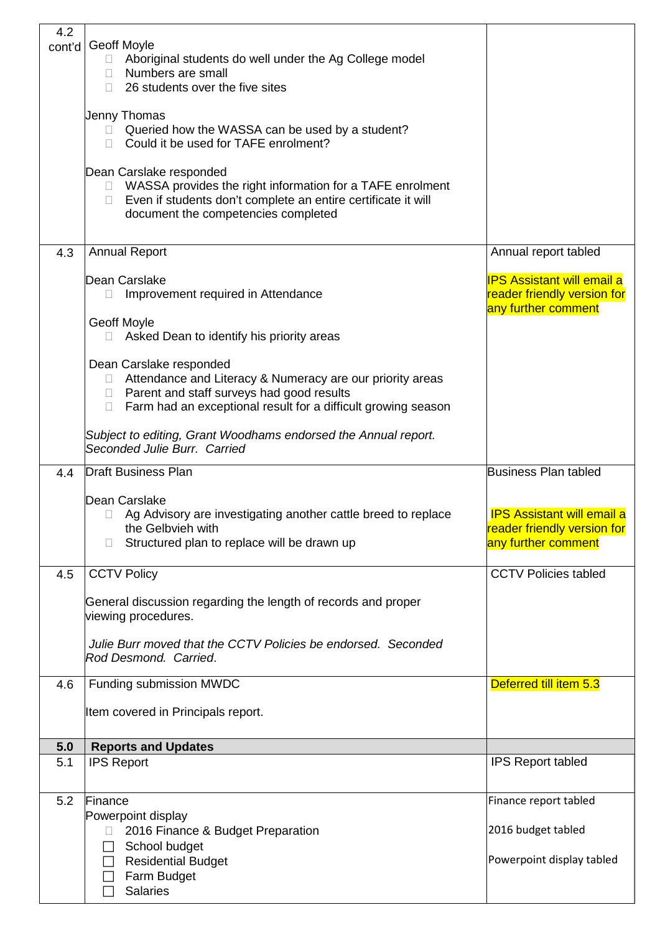| 4.2    |                                                                         |                                   |
|--------|-------------------------------------------------------------------------|-----------------------------------|
| cont'd | <b>Geoff Moyle</b>                                                      |                                   |
|        | Aboriginal students do well under the Ag College model<br>$\Box$        |                                   |
|        | $\Box$ Numbers are small                                                |                                   |
|        | 26 students over the five sites<br>П.                                   |                                   |
|        |                                                                         |                                   |
|        | Jenny Thomas                                                            |                                   |
|        | Queried how the WASSA can be used by a student?<br>$\mathbb{R}^n$       |                                   |
|        | Could it be used for TAFE enrolment?                                    |                                   |
|        |                                                                         |                                   |
|        | Dean Carslake responded                                                 |                                   |
|        | WASSA provides the right information for a TAFE enrolment<br>$\Box$     |                                   |
|        | Even if students don't complete an entire certificate it will<br>$\Box$ |                                   |
|        | document the competencies completed                                     |                                   |
|        |                                                                         |                                   |
|        |                                                                         |                                   |
| 4.3    | <b>Annual Report</b>                                                    | Annual report tabled              |
|        | Dean Carslake                                                           | <b>IPS Assistant will email a</b> |
|        |                                                                         | reader friendly version for       |
|        | Improvement required in Attendance<br>$\mathbf{L}$                      |                                   |
|        | Geoff Moyle                                                             | any further comment               |
|        | Asked Dean to identify his priority areas<br>П.                         |                                   |
|        |                                                                         |                                   |
|        | Dean Carslake responded                                                 |                                   |
|        | Attendance and Literacy & Numeracy are our priority areas               |                                   |
|        | □ Parent and staff surveys had good results                             |                                   |
|        | Farm had an exceptional result for a difficult growing season<br>$\Box$ |                                   |
|        |                                                                         |                                   |
|        | Subject to editing, Grant Woodhams endorsed the Annual report.          |                                   |
|        | Seconded Julie Burr. Carried                                            |                                   |
|        |                                                                         |                                   |
|        |                                                                         |                                   |
| 4.4    | <b>Draft Business Plan</b>                                              | <b>Business Plan tabled</b>       |
|        |                                                                         |                                   |
|        | Dean Carslake                                                           |                                   |
|        | Ag Advisory are investigating another cattle breed to replace           | <b>IPS Assistant will email a</b> |
|        | the Gelbvieh with                                                       | reader friendly version for       |
|        | Structured plan to replace will be drawn up<br>$\Box$                   | any further comment               |
|        |                                                                         |                                   |
| 4.5    | <b>CCTV Policy</b>                                                      | <b>CCTV Policies tabled</b>       |
|        |                                                                         |                                   |
|        | General discussion regarding the length of records and proper           |                                   |
|        | viewing procedures.                                                     |                                   |
|        |                                                                         |                                   |
|        | Julie Burr moved that the CCTV Policies be endorsed. Seconded           |                                   |
|        | Rod Desmond. Carried.                                                   |                                   |
|        |                                                                         |                                   |
| 4.6    | Funding submission MWDC                                                 | Deferred till item 5.3            |
|        |                                                                         |                                   |
|        | Item covered in Principals report.                                      |                                   |
|        |                                                                         |                                   |
| 5.0    | <b>Reports and Updates</b>                                              |                                   |
| 5.1    | <b>IPS Report</b>                                                       | <b>IPS Report tabled</b>          |
|        |                                                                         |                                   |
| 5.2    | Finance                                                                 | Finance report tabled             |
|        | Powerpoint display                                                      |                                   |
|        |                                                                         | 2016 budget tabled                |
|        | 2016 Finance & Budget Preparation                                       |                                   |
|        | School budget<br>$\Box$                                                 |                                   |
|        | <b>Residential Budget</b>                                               | Powerpoint display tabled         |
|        | Farm Budget<br><b>Salaries</b>                                          |                                   |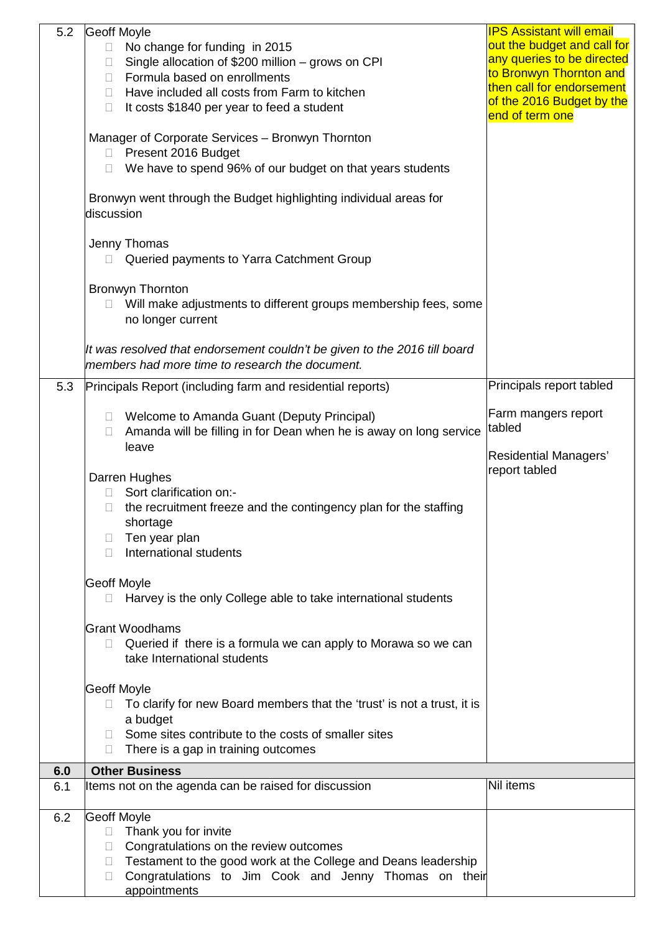| 5.2 | <b>Geoff Moyle</b>                                                                                                           | <b>IPS Assistant will email</b>                      |
|-----|------------------------------------------------------------------------------------------------------------------------------|------------------------------------------------------|
|     | No change for funding in 2015<br>$\Box$                                                                                      | out the budget and call for                          |
|     | Single allocation of \$200 million - grows on CPI<br>$\Box$                                                                  | any queries to be directed                           |
|     | Formula based on enrollments<br>П.                                                                                           | to Bronwyn Thornton and<br>then call for endorsement |
|     | Have included all costs from Farm to kitchen<br>П.                                                                           | of the 2016 Budget by the                            |
|     | It costs \$1840 per year to feed a student<br>П                                                                              | end of term one                                      |
|     | Manager of Corporate Services - Bronwyn Thornton                                                                             |                                                      |
|     | Present 2016 Budget<br>$\Box$                                                                                                |                                                      |
|     | We have to spend 96% of our budget on that years students                                                                    |                                                      |
|     | Bronwyn went through the Budget highlighting individual areas for<br>discussion                                              |                                                      |
|     | Jenny Thomas<br>Queried payments to Yarra Catchment Group<br>$\Box$                                                          |                                                      |
|     | <b>Bronwyn Thornton</b>                                                                                                      |                                                      |
|     | Will make adjustments to different groups membership fees, some<br>no longer current                                         |                                                      |
|     | It was resolved that endorsement couldn't be given to the 2016 till board<br>members had more time to research the document. |                                                      |
| 5.3 | Principals Report (including farm and residential reports)                                                                   | Principals report tabled                             |
|     |                                                                                                                              |                                                      |
|     | Welcome to Amanda Guant (Deputy Principal)<br>$\Box$                                                                         | Farm mangers report                                  |
|     | Amanda will be filling in for Dean when he is away on long service<br>$\Box$                                                 | tabled                                               |
|     | leave                                                                                                                        | <b>Residential Managers'</b><br>report tabled        |
|     | Darren Hughes<br>Sort clarification on:-                                                                                     |                                                      |
|     | $\mathbb{R}^n$<br>the recruitment freeze and the contingency plan for the staffing                                           |                                                      |
|     | shortage                                                                                                                     |                                                      |
|     | Ten year plan<br>$\Box$                                                                                                      |                                                      |
|     | International students<br>П                                                                                                  |                                                      |
|     |                                                                                                                              |                                                      |
|     | <b>Geoff Moyle</b>                                                                                                           |                                                      |
|     | Harvey is the only College able to take international students<br>$\Box$                                                     |                                                      |
|     | lGrant Woodhams                                                                                                              |                                                      |
|     | Queried if there is a formula we can apply to Morawa so we can<br>П.                                                         |                                                      |
|     | take International students                                                                                                  |                                                      |
|     | <b>Geoff Moyle</b>                                                                                                           |                                                      |
|     | To clarify for new Board members that the 'trust' is not a trust, it is<br>П.                                                |                                                      |
|     | a budget                                                                                                                     |                                                      |
|     | Some sites contribute to the costs of smaller sites<br>H                                                                     |                                                      |
|     | There is a gap in training outcomes<br>Ш                                                                                     |                                                      |
| 6.0 | <b>Other Business</b>                                                                                                        |                                                      |
| 6.1 | Items not on the agenda can be raised for discussion                                                                         | Nil items                                            |
|     |                                                                                                                              |                                                      |
| 6.2 | <b>Geoff Moyle</b><br>Thank you for invite<br>$\Box$                                                                         |                                                      |
|     | Congratulations on the review outcomes<br>$\mathbf{L}$                                                                       |                                                      |
|     | Testament to the good work at the College and Deans leadership<br>$\Box$                                                     |                                                      |
|     | Congratulations to Jim Cook and Jenny Thomas on their<br>$\Box$                                                              |                                                      |
|     | appointments                                                                                                                 |                                                      |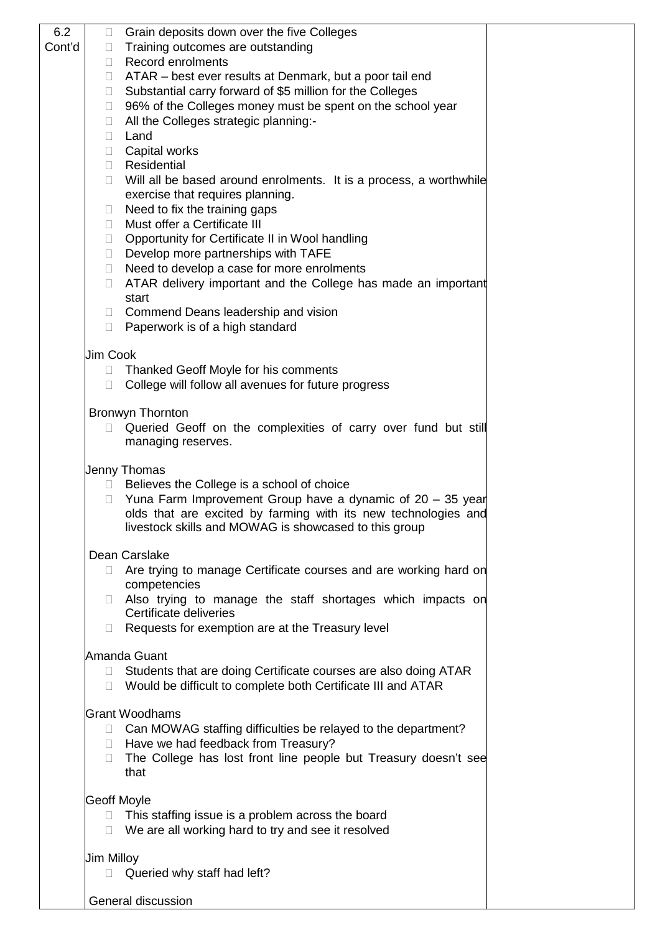| 6.2    | Grain deposits down over the five Colleges<br>u                                                                                     |
|--------|-------------------------------------------------------------------------------------------------------------------------------------|
| Cont'd | Training outcomes are outstanding<br>$\mathbb{R}^n$                                                                                 |
|        | <b>Record enrolments</b><br>$\mathbb{R}^n$                                                                                          |
|        | $\Box$ ATAR – best ever results at Denmark, but a poor tail end                                                                     |
|        | □ Substantial carry forward of \$5 million for the Colleges                                                                         |
|        | 96% of the Colleges money must be spent on the school year<br>$\Box$<br>All the Colleges strategic planning:-                       |
|        | $\Box$<br>Land<br>n.                                                                                                                |
|        | Capital works<br>$\Box$                                                                                                             |
|        | Residential<br>n.                                                                                                                   |
|        | Will all be based around enrolments. It is a process, a worthwhile<br>П                                                             |
|        | exercise that requires planning.                                                                                                    |
|        | Need to fix the training gaps<br>$\Box$                                                                                             |
|        | Must offer a Certificate III<br>$\mathbb{R}^n$                                                                                      |
|        | Opportunity for Certificate II in Wool handling<br>Ш<br>Develop more partnerships with TAFE                                         |
|        | Need to develop a case for more enrolments<br>$\Box$                                                                                |
|        | ATAR delivery important and the College has made an important<br>П.                                                                 |
|        | start                                                                                                                               |
|        | Commend Deans leadership and vision<br>$\Box$                                                                                       |
|        | Paperwork is of a high standard<br>П.                                                                                               |
|        | <b>Jim Cook</b>                                                                                                                     |
|        | Thanked Geoff Moyle for his comments<br>$\Box$                                                                                      |
|        | College will follow all avenues for future progress<br>$\Box$                                                                       |
|        |                                                                                                                                     |
|        | <b>Bronwyn Thornton</b><br>П.                                                                                                       |
|        | Queried Geoff on the complexities of carry over fund but still<br>managing reserves.                                                |
|        |                                                                                                                                     |
|        | <b>Jenny Thomas</b>                                                                                                                 |
|        | Believes the College is a school of choice<br>$\Box$                                                                                |
|        | Yuna Farm Improvement Group have a dynamic of $20 - 35$ year<br>П<br>olds that are excited by farming with its new technologies and |
|        | livestock skills and MOWAG is showcased to this group                                                                               |
|        |                                                                                                                                     |
|        | Dean Carslake                                                                                                                       |
|        | Are trying to manage Certificate courses and are working hard on<br>$\Box$                                                          |
|        | competencies<br>Also trying to manage the staff shortages which impacts on<br>$\mathbb{R}^n$                                        |
|        | Certificate deliveries                                                                                                              |
|        | Requests for exemption are at the Treasury level<br>$\mathbb{R}^n$                                                                  |
|        |                                                                                                                                     |
|        | Amanda Guant<br>Students that are doing Certificate courses are also doing ATAR<br>$\Box$                                           |
|        | Would be difficult to complete both Certificate III and ATAR<br>П.                                                                  |
|        |                                                                                                                                     |
|        | <b>Grant Woodhams</b>                                                                                                               |
|        | □ Can MOWAG staffing difficulties be relayed to the department?                                                                     |
|        | Have we had feedback from Treasury?<br>$\mathbb{R}^n$                                                                               |
|        | The College has lost front line people but Treasury doesn't see<br>П<br>that                                                        |
|        |                                                                                                                                     |
|        | <b>Geoff Moyle</b>                                                                                                                  |
|        | $\Box$ This staffing issue is a problem across the board                                                                            |
|        | We are all working hard to try and see it resolved<br>$\Box$                                                                        |
|        | <b>Jim Milloy</b>                                                                                                                   |
|        | Queried why staff had left?<br>$\Box$                                                                                               |
|        |                                                                                                                                     |
|        | General discussion                                                                                                                  |